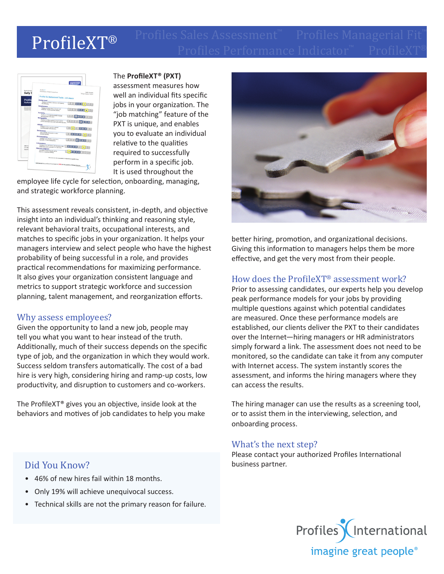# Profiles Performance Indicator™ ProfileXT® ProfileXT®



The **ProfileXT® (PXT)** 

assessment measures how well an individual fits specific jobs in your organization. The "job matching" feature of the PXT is unique, and enables you to evaluate an individual relative to the qualities required to successfully perform in a specific job. It is used throughout the

employee life cycle for selection, onboarding, managing, and strategic workforce planning.

This assessment reveals consistent, in-depth, and objective insight into an individual's thinking and reasoning style, relevant behavioral traits, occupational interests, and matches to specific jobs in your organization. It helps your managers interview and select people who have the highest probability of being successful in a role, and provides practical recommendations for maximizing performance. It also gives your organization consistent language and metrics to support strategic workforce and succession planning, talent management, and reorganization efforts.

## Why assess employees?

Given the opportunity to land a new job, people may tell you what you want to hear instead of the truth. Additionally, much of their success depends on the specific type of job, and the organization in which they would work. Success seldom transfers automatically. The cost of a bad hire is very high, considering hiring and ramp-up costs, low productivity, and disruption to customers and co-workers.

The ProfileXT® gives you an objective, inside look at the behaviors and motives of job candidates to help you make

## Did You Know?

- 46% of new hires fail within 18 months.
- Only 19% will achieve unequivocal success.
- Technical skills are not the primary reason for failure.



better hiring, promotion, and organizational decisions. Giving this information to managers helps them be more effective, and get the very most from their people.

## How does the ProfileXT® assessment work?

Prior to assessing candidates, our experts help you develop peak performance models for your jobs by providing multiple questions against which potential candidates are measured. Once these performance models are established, our clients deliver the PXT to their candidates over the Internet—hiring managers or HR administrators simply forward a link. The assessment does not need to be monitored, so the candidate can take it from any computer with Internet access. The system instantly scores the assessment, and informs the hiring managers where they can access the results.

The hiring manager can use the results as a screening tool, or to assist them in the interviewing, selection, and onboarding process.

#### What's the next step?

Please contact your authorized Profiles International business partner.